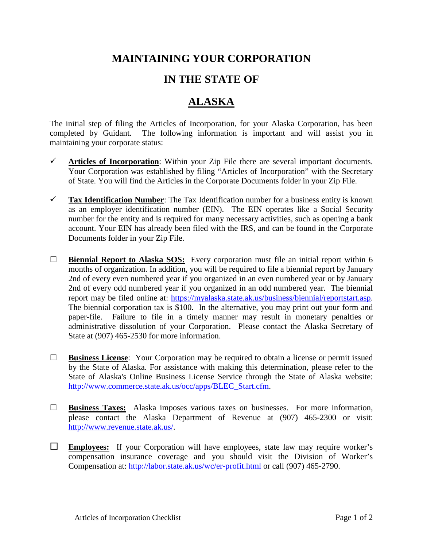## **MAINTAINING YOUR CORPORATION**

## **IN THE STATE OF**

## **ALASKA**

The initial step of filing the Articles of Incorporation, for your Alaska Corporation, has been completed by Guidant. The following information is important and will assist you in maintaining your corporate status:

- $\checkmark$  Articles of Incorporation: Within your Zip File there are several important documents. Your Corporation was established by filing "Articles of Incorporation" with the Secretary of State. You will find the Articles in the Corporate Documents folder in your Zip File.
- **Tax Identification Number**: The Tax Identification number for a business entity is known as an employer identification number (EIN). The EIN operates like a Social Security number for the entity and is required for many necessary activities, such as opening a bank account. Your EIN has already been filed with the IRS, and can be found in the Corporate Documents folder in your Zip File.
- **□ Biennial Report to Alaska SOS:** Every corporation must file an initial report within 6 months of organization. In addition, you will be required to file a biennial report by January 2nd of every even numbered year if you organized in an even numbered year or by January 2nd of every odd numbered year if you organized in an odd numbered year. The biennial report may be filed online at: [https://myalaska.state.ak.us/business/biennial/reportstart.asp.](https://myalaska.state.ak.us/business/biennial/reportstart.asp) The biennial corporation tax is \$100. In the alternative, you may print out your form and paper-file. Failure to file in a timely manner may result in monetary penalties or administrative dissolution of your Corporation. Please contact the Alaska Secretary of State at (907) 465-2530 for more information.
- **□ Business License**: Your Corporation may be required to obtain a license or permit issued by the State of Alaska. For assistance with making this determination, please refer to the State of Alaska's Online Business License Service through the State of Alaska website: [http://www.commerce.state.ak.us/occ/apps/BLEC\\_Start.cfm.](http://www.commerce.state.ak.us/occ/apps/BLEC_Start.cfm)
- **□ Business Taxes:** Alaska imposes various taxes on businesses. For more information, please contact the Alaska Department of Revenue at (907) 465-2300 or visit: [http://www.revenue.state.ak.us/.](http://www.revenue.state.ak.us/)
- **Employees:** If your Corporation will have employees, state law may require worker's compensation insurance coverage and you should visit the Division of Worker's Compensation at:<http://labor.state.ak.us/wc/er-profit.html> or call (907) 465-2790.